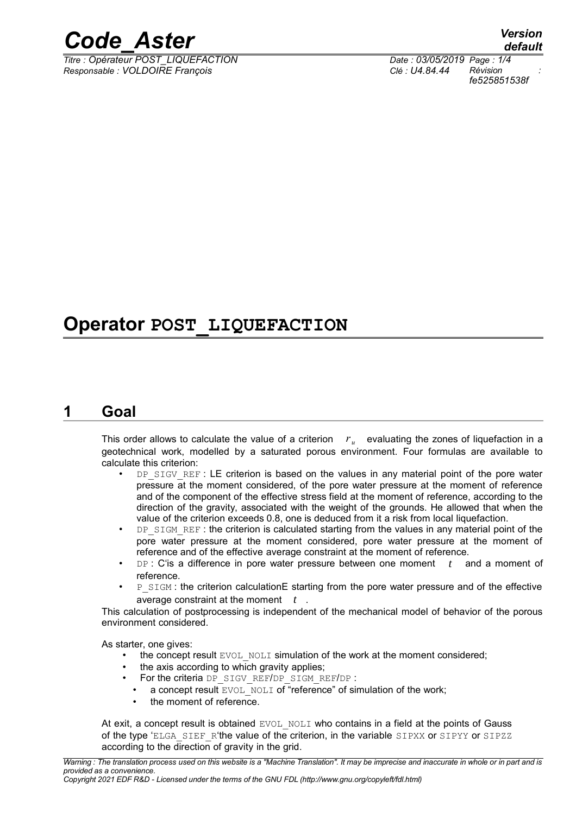

*Titre : Opérateur POST\_LIQUEFACTION Date : 03/05/2019 Page : 1/4 Responsable : VOLDOIRE François Clé : U4.84.44 Révision :*

*default fe525851538f*

# **Operator POST\_LIQUEFACTION**

### **1 Goal**

This order allows to calculate the value of a criterion  $r_u$  evaluating the zones of liquefaction in a geotechnical work, modelled by a saturated porous environment. Four formulas are available to calculate this criterion:

- DP\_SIGV\_REF : LE criterion is based on the values in any material point of the pore water pressure at the moment considered, of the pore water pressure at the moment of reference and of the component of the effective stress field at the moment of reference, according to the direction of the gravity, associated with the weight of the grounds. He allowed that when the value of the criterion exceeds 0.8, one is deduced from it a risk from local liquefaction.
- DP\_SIGM\_REF: the criterion is calculated starting from the values in any material point of the pore water pressure at the moment considered, pore water pressure at the moment of reference and of the effective average constraint at the moment of reference.
- DP : C'is a difference in pore water pressure between one moment *t* and a moment of reference.
- P\_SIGM : the criterion calculationE starting from the pore water pressure and of the effective average constraint at the moment *t* .

This calculation of postprocessing is independent of the mechanical model of behavior of the porous environment considered.

As starter, one gives:

- the concept result EVOL NOLI simulation of the work at the moment considered;
- the axis according to which gravity applies;
- For the criteria DP\_SIGV\_REF/DP\_SIGM\_REF/DP :
	- a concept result EVOL\_NOLI of "reference" of simulation of the work;
	- the moment of reference.

At exit, a concept result is obtained EVOL NOLI who contains in a field at the points of Gauss of the type 'ELGA\_SIEF\_R'the value of the criterion, in the variable SIPXX or SIPYY or SIPZZ according to the direction of gravity in the grid.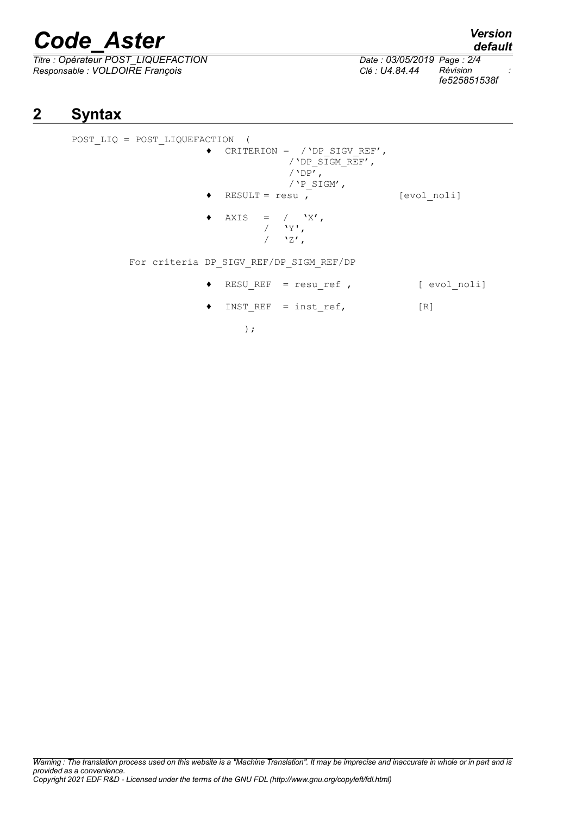# *Code\_Aster Version*

*Titre : Opérateur POST\_LIQUEFACTION Date : 03/05/2019 Page : 2/4 Responsable : VOLDOIRE François Clé : U4.84.44 Révision :*

*fe525851538f*

## **2 Syntax**

POST\_LIQ = POST\_LIQUEFACTION ( ♦ CRITERION = /'DP\_SIGV\_REF', /'DP\_SIGM\_REF', /'DP $\overline{'}$ , /  $'P\_SIGM'$ ,  $\triangleleft$  RESULT = resu , [evol noli]  $\begin{array}{cccc} \bullet & \text{AXIS} & = & / & \text{'X'} \,, \end{array}$  $'Y'$ ,  $\frac{1}{2}$   $\sqrt{27}$ , For criteria DP\_SIGV\_REF/DP\_SIGM\_REF/DP ♦ RESU\_REF = resu\_ref , [ evol\_noli]  $\blacklozenge$  INST REF = inst ref, [R]

);

*default*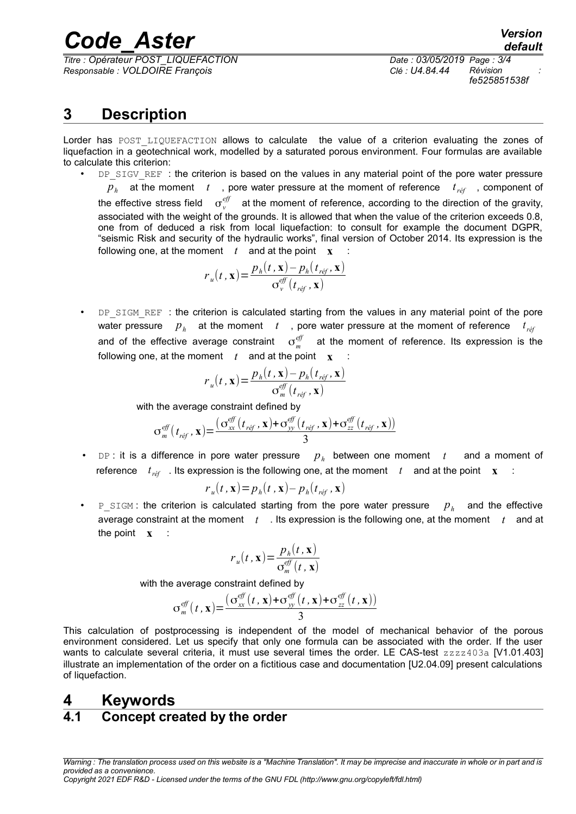# *Code\_Aster Version*

*Titre : Opérateur POST\_LIQUEFACTION Date : 03/05/2019 Page : 3/4 Responsable : VOLDOIRE François Clé : U4.84.44 Révision :*

*fe525851538f*

# **3 Description**

Lorder has POST LIQUEFACTION allows to calculate the value of a criterion evaluating the zones of liquefaction in a geotechnical work, modelled by a saturated porous environment. Four formulas are available to calculate this criterion:

DP\_SIGV\_REF : the criterion is based on the values in any material point of the pore water pressure

 $p_h$  at the moment  $t$  , pore water pressure at the moment of reference  $t_{\text{ref}}$  , component of the effective stress field  $\sigma_{v}^{e\!f\!f}$  at the moment of reference, according to the direction of the gravity, associated with the weight of the grounds. It is allowed that when the value of the criterion exceeds 0.8, one from of deduced a risk from local liquefaction: to consult for example the document DGPR, "seismic Risk and security of the hydraulic works", final version of October 2014. Its expression is the following one, at the moment  $t$  and at the point  $\mathbf{x}$  :

$$
r_u(t, \mathbf{x}) = \frac{p_h(t, \mathbf{x}) - p_h(t_{\text{ref}}, \mathbf{x})}{\sigma_v^{\text{eff}}(t_{\text{ref}}, \mathbf{x})}
$$

DP\_SIGM\_REF : the criterion is calculated starting from the values in any material point of the pore water pressure  $p_h$  at the moment  $t$ , pore water pressure at the moment of reference  $t_{r\acute{e}f}$ and of the effective average constraint  $\sigma_m^{e\!f\!f}$  at the moment of reference. Its expression is the following one, at the moment  $t$  and at the point  $\mathbf{x}$ 

$$
r_u(t, \mathbf{x}) = \frac{p_h(t, \mathbf{x}) - p_h(t_{\text{ref}}, \mathbf{x})}{\sigma_m^{\text{eff}}(t_{\text{ref}}, \mathbf{x})}
$$

with the average constraint defined by

$$
\sigma_m^{eff}(t_{\text{ref}}, \mathbf{x}) = \frac{(\sigma_{xx}^{eff}(t_{\text{ref}}, \mathbf{x}) + \sigma_{yy}^{eff}(t_{\text{ref}}, \mathbf{x}) + \sigma_{zz}^{eff}(t_{\text{ref}}, \mathbf{x}))}{3}
$$

• DP : it is a difference in pore water pressure *p<sup>h</sup>* between one moment *t* and a moment of reference  $t_{ref}$  . Its expression is the following one, at the moment  $t_{f}$  and at the point  $\mathbf{x}$  :

$$
r_u(t, \mathbf{x}) = p_h(t, \mathbf{x}) - p_h(t_{\text{ref}}, \mathbf{x})
$$

• P\_SIGM : the criterion is calculated starting from the pore water pressure *p<sup>h</sup>*  $p_h$  and the effective average constraint at the moment *t* . Its expression is the following one, at the moment *t* and at the point **x** :

$$
r_u(t, \mathbf{x}) = \frac{p_h(t, \mathbf{x})}{\sigma_m^{eff}(t, \mathbf{x})}
$$

with the average constraint defined by

$$
\sigma_m^{eff}(t, \mathbf{x}) = \frac{\left(\sigma_{xx}^{eff}(t, \mathbf{x}) + \sigma_{yy}^{eff}(t, \mathbf{x}) + \sigma_{zz}^{eff}(t, \mathbf{x})\right)}{3}
$$

This calculation of postprocessing is independent of the model of mechanical behavior of the porous environment considered. Let us specify that only one formula can be associated with the order. If the user wants to calculate several criteria, it must use several times the order. LE CAS-test zzzz403a [V1.01.403] illustrate an implementation of the order on a fictitious case and documentation [U2.04.09] present calculations of liquefaction.

### **4 Keywords**

### **4.1 Concept created by the order**

*Warning : The translation process used on this website is a "Machine Translation". It may be imprecise and inaccurate in whole or in part and is provided as a convenience.*

*Copyright 2021 EDF R&D - Licensed under the terms of the GNU FDL (http://www.gnu.org/copyleft/fdl.html)*